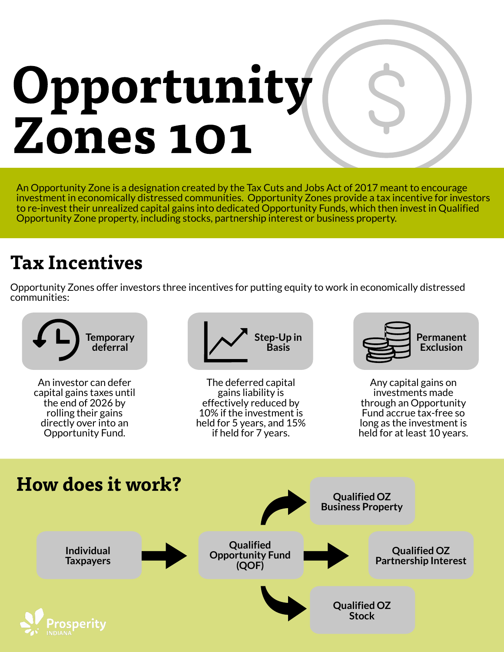# Opportunity Zones 101

An Opportunity Zone is a designation created by the Tax Cuts and Jobs Act of 2017 meant to encourage investment in economically distressed communities. Opportunity Zones provide a tax incentive for investors to re-invest their unrealized capital gains into dedicated Opportunity Funds, which then invest in Qualified Opportunity Zone property, including stocks, partnership interest or business property.

# Tax Incentives

Opportunity Zones offer investors three incentives for putting equity to work in economically distressed communities:

An investor can defer capital gains taxes until the end of 2026 by rolling their gains directly over into an Opportunity Fund.







The deferred capital gains liability is effectively reduced by 10% if the investment is held for 5 years, and 15% if held for 7 years.

Any capital gains on investments made through an Opportunity Fund accrue tax-free so long as the investment is held for at least 10 years.

## How does it work?





**Business Property**